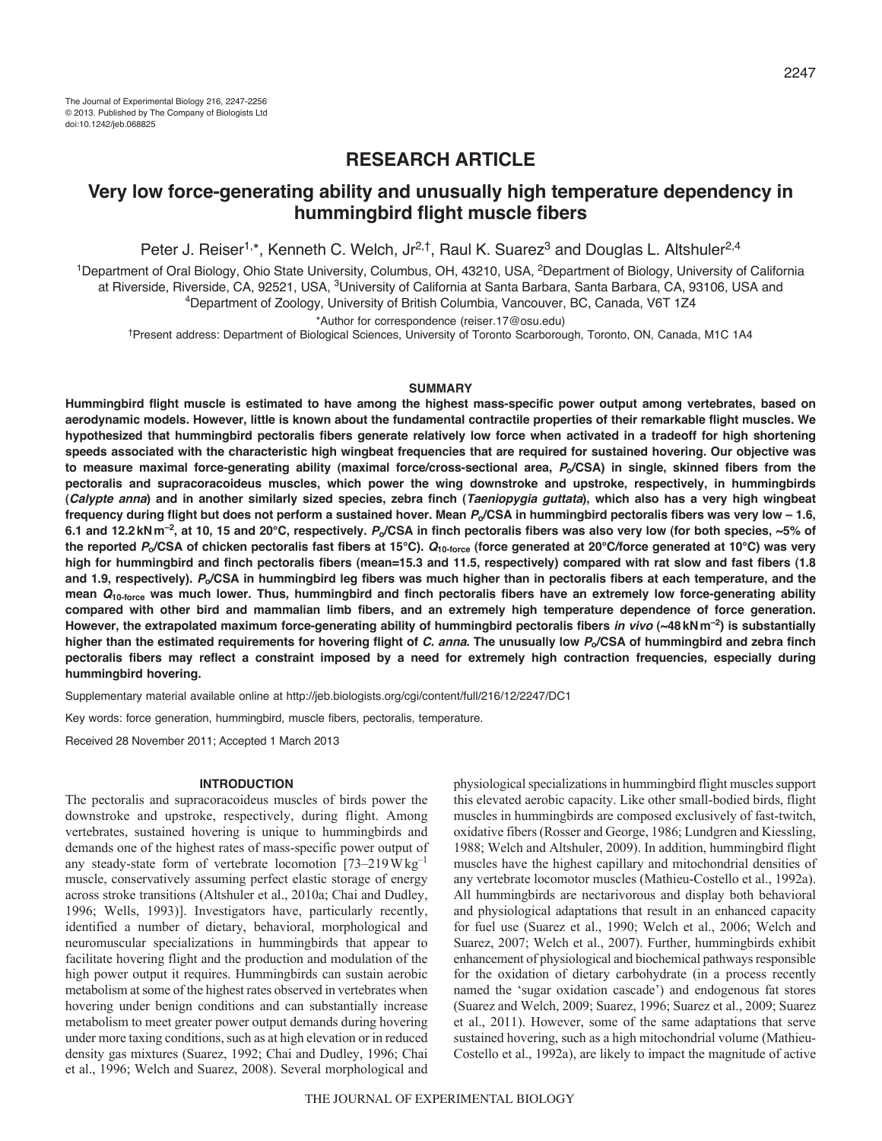# **RESEARCH ARTICLE**

# **Very low force-generating ability and unusually high temperature dependency in hummingbird flight muscle fibers**

Peter J. Reiser<sup>1,\*</sup>, Kenneth C. Welch, Jr<sup>2,†</sup>, Raul K. Suarez<sup>3</sup> and Douglas L. Altshuler<sup>2,4</sup>

<sup>1</sup>Department of Oral Biology, Ohio State University, Columbus, OH, 43210, USA, <sup>2</sup>Department of Biology, University of California at Riverside, Riverside, CA, 92521, USA, 3University of California at Santa Barbara, Santa Barbara, CA, 93106, USA and 4Department of Zoology, University of British Columbia, Vancouver, BC, Canada, V6T 1Z4

\*Author for correspondence (reiser.17@osu.edu)

†Present address: Department of Biological Sciences, University of Toronto Scarborough, Toronto, ON, Canada, M1C 1A4

## **SUMMARY**

**Hummingbird flight muscle is estimated to have among the highest mass-specific power output among vertebrates, based on aerodynamic models. However, little is known about the fundamental contractile properties of their remarkable flight muscles. We hypothesized that hummingbird pectoralis fibers generate relatively low force when activated in a tradeoff for high shortening speeds associated with the characteristic high wingbeat frequencies that are required for sustained hovering. Our objective was to measure maximal force-generating ability (maximal force/cross-sectional area,** *P***o/CSA) in single, skinned fibers from the pectoralis and supracoracoideus muscles, which power the wing downstroke and upstroke, respectively, in hummingbirds (***Calypte anna***) and in another similarly sized species, zebra finch (***Taeniopygia guttata***), which also has a very high wingbeat** frequency during flight but does not perform a sustained hover. Mean P<sub>o</sub>/CSA in hummingbird pectoralis fibers was very low - 1.6, **6.1 and 12.2kNm–2, at 10, 15 and 20°C, respectively.** *P***o/CSA in finch pectoralis fibers was also very low (for both species, ~5% of the reported** *P***o/CSA of chicken pectoralis fast fibers at 15°C).** *Q***10-force (force generated at 20°C/force generated at 10°C) was very high for hummingbird and finch pectoralis fibers (mean=15.3 and 11.5, respectively) compared with rat slow and fast fibers (1.8** and 1.9, respectively). P<sub>o</sub>/CSA in hummingbird leg fibers was much higher than in pectoralis fibers at each temperature, and the **mean** *Q***10-force was much lower. Thus, hummingbird and finch pectoralis fibers have an extremely low force-generating ability compared with other bird and mammalian limb fibers, and an extremely high temperature dependence of force generation. However, the extrapolated maximum force-generating ability of hummingbird pectoralis fibers** *in vivo* **(~48kNm–2) is substantially higher than the estimated requirements for hovering flight of** *C. anna***. The unusually low** *P***o/CSA of hummingbird and zebra finch pectoralis fibers may reflect a constraint imposed by a need for extremely high contraction frequencies, especially during hummingbird hovering.**

Supplementary material available online at http://jeb.biologists.org/cgi/content/full/216/12/2247/DC1

Key words: force generation, hummingbird, muscle fibers, pectoralis, temperature.

Received 28 November 2011; Accepted 1 March 2013

## **INTRODUCTION**

The pectoralis and supracoracoideus muscles of birds power the downstroke and upstroke, respectively, during flight. Among vertebrates, sustained hovering is unique to hummingbirds and demands one of the highest rates of mass-specific power output of any steady-state form of vertebrate locomotion  $[73-219 \text{Wkg}^{-1}]$ muscle, conservatively assuming perfect elastic storage of energy across stroke transitions (Altshuler et al., 2010a; Chai and Dudley, 1996; Wells, 1993)]. Investigators have, particularly recently, identified a number of dietary, behavioral, morphological and neuromuscular specializations in hummingbirds that appear to facilitate hovering flight and the production and modulation of the high power output it requires. Hummingbirds can sustain aerobic metabolism at some of the highest rates observed in vertebrates when hovering under benign conditions and can substantially increase metabolism to meet greater power output demands during hovering under more taxing conditions, such as at high elevation or in reduced density gas mixtures (Suarez, 1992; Chai and Dudley, 1996; Chai et al., 1996; Welch and Suarez, 2008). Several morphological and

physiological specializations in hummingbird flight muscles support this elevated aerobic capacity. Like other small-bodied birds, flight muscles in hummingbirds are composed exclusively of fast-twitch, oxidative fibers (Rosser and George, 1986; Lundgren and Kiessling, 1988; Welch and Altshuler, 2009). In addition, hummingbird flight muscles have the highest capillary and mitochondrial densities of any vertebrate locomotor muscles (Mathieu-Costello et al., 1992a). All hummingbirds are nectarivorous and display both behavioral and physiological adaptations that result in an enhanced capacity for fuel use (Suarez et al., 1990; Welch et al., 2006; Welch and Suarez, 2007; Welch et al., 2007). Further, hummingbirds exhibit enhancement of physiological and biochemical pathways responsible for the oxidation of dietary carbohydrate (in a process recently named the 'sugar oxidation cascade') and endogenous fat stores (Suarez and Welch, 2009; Suarez, 1996; Suarez et al., 2009; Suarez et al., 2011). However, some of the same adaptations that serve sustained hovering, such as a high mitochondrial volume (Mathieu-Costello et al., 1992a), are likely to impact the magnitude of active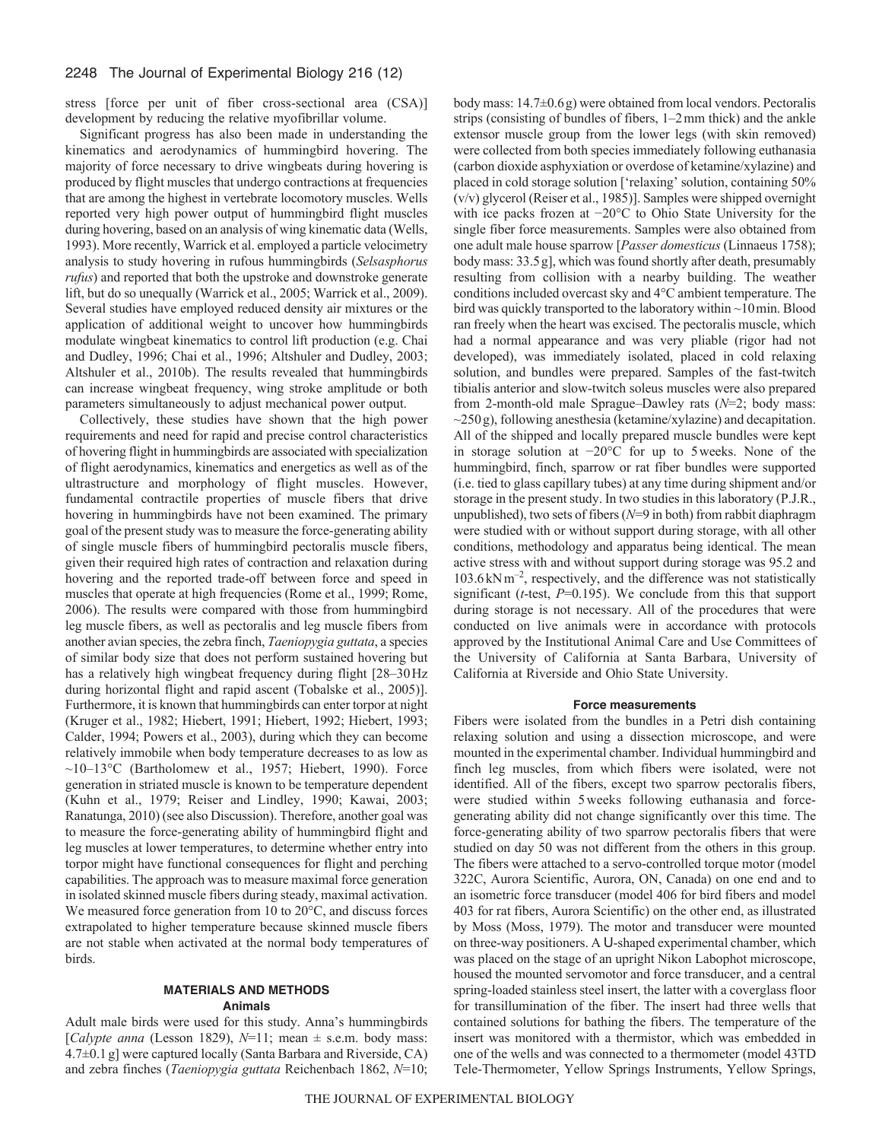stress [force per unit of fiber cross-sectional area (CSA)] development by reducing the relative myofibrillar volume.

Significant progress has also been made in understanding the kinematics and aerodynamics of hummingbird hovering. The majority of force necessary to drive wingbeats during hovering is produced by flight muscles that undergo contractions at frequencies that are among the highest in vertebrate locomotory muscles. Wells reported very high power output of hummingbird flight muscles during hovering, based on an analysis of wing kinematic data (Wells, 1993). More recently, Warrick et al. employed a particle velocimetry analysis to study hovering in rufous hummingbirds (*Selsasphorus rufus*) and reported that both the upstroke and downstroke generate lift, but do so unequally (Warrick et al., 2005; Warrick et al., 2009). Several studies have employed reduced density air mixtures or the application of additional weight to uncover how hummingbirds modulate wingbeat kinematics to control lift production (e.g. Chai and Dudley, 1996; Chai et al., 1996; Altshuler and Dudley, 2003; Altshuler et al., 2010b). The results revealed that hummingbirds can increase wingbeat frequency, wing stroke amplitude or both parameters simultaneously to adjust mechanical power output.

Collectively, these studies have shown that the high power requirements and need for rapid and precise control characteristics of hovering flight in hummingbirds are associated with specialization of flight aerodynamics, kinematics and energetics as well as of the ultrastructure and morphology of flight muscles. However, fundamental contractile properties of muscle fibers that drive hovering in hummingbirds have not been examined. The primary goal of the present study was to measure the force-generating ability of single muscle fibers of hummingbird pectoralis muscle fibers, given their required high rates of contraction and relaxation during hovering and the reported trade-off between force and speed in muscles that operate at high frequencies (Rome et al., 1999; Rome, 2006). The results were compared with those from hummingbird leg muscle fibers, as well as pectoralis and leg muscle fibers from another avian species, the zebra finch, *Taeniopygia guttata*, a species of similar body size that does not perform sustained hovering but has a relatively high wingbeat frequency during flight [28–30Hz during horizontal flight and rapid ascent (Tobalske et al., 2005)]. Furthermore, it is known that hummingbirds can enter torpor at night (Kruger et al., 1982; Hiebert, 1991; Hiebert, 1992; Hiebert, 1993; Calder, 1994; Powers et al., 2003), during which they can become relatively immobile when body temperature decreases to as low as  $~10-13$ °C (Bartholomew et al., 1957; Hiebert, 1990). Force generation in striated muscle is known to be temperature dependent (Kuhn et al., 1979; Reiser and Lindley, 1990; Kawai, 2003; Ranatunga, 2010) (see also Discussion). Therefore, another goal was to measure the force-generating ability of hummingbird flight and leg muscles at lower temperatures, to determine whether entry into torpor might have functional consequences for flight and perching capabilities. The approach was to measure maximal force generation in isolated skinned muscle fibers during steady, maximal activation. We measured force generation from 10 to 20°C, and discuss forces extrapolated to higher temperature because skinned muscle fibers are not stable when activated at the normal body temperatures of birds.

## **MATERIALS AND METHODS Animals**

Adult male birds were used for this study. Anna's hummingbirds [*Calypte anna* (Lesson 1829), *N*=11; mean ± s.e.m. body mass: 4.7±0.1g] were captured locally (Santa Barbara and Riverside, CA) and zebra finches (*Taeniopygia guttata* Reichenbach 1862, *N*=10; body mass: 14.7±0.6g) were obtained from local vendors. Pectoralis strips (consisting of bundles of fibers, 1–2mm thick) and the ankle extensor muscle group from the lower legs (with skin removed) were collected from both species immediately following euthanasia (carbon dioxide asphyxiation or overdose of ketamine/xylazine) and placed in cold storage solution ['relaxing' solution, containing 50% (v/v) glycerol (Reiser et al., 1985)]. Samples were shipped overnight with ice packs frozen at −20°C to Ohio State University for the single fiber force measurements. Samples were also obtained from one adult male house sparrow [*Passer domesticus* (Linnaeus 1758); body mass: 33.5g], which was found shortly after death, presumably resulting from collision with a nearby building. The weather conditions included overcast sky and 4°C ambient temperature. The bird was quickly transported to the laboratory within ~10min. Blood ran freely when the heart was excised. The pectoralis muscle, which had a normal appearance and was very pliable (rigor had not developed), was immediately isolated, placed in cold relaxing solution, and bundles were prepared. Samples of the fast-twitch tibialis anterior and slow-twitch soleus muscles were also prepared from 2-month-old male Sprague–Dawley rats (*N*=2; body mass:  $\sim$ 250g), following anesthesia (ketamine/xylazine) and decapitation. All of the shipped and locally prepared muscle bundles were kept in storage solution at −20°C for up to 5weeks. None of the hummingbird, finch, sparrow or rat fiber bundles were supported (i.e. tied to glass capillary tubes) at any time during shipment and/or storage in the present study. In two studies in this laboratory (P.J.R., unpublished), two sets of fibers (*N*=9 in both) from rabbit diaphragm were studied with or without support during storage, with all other conditions, methodology and apparatus being identical. The mean active stress with and without support during storage was 95.2 and  $103.6 \text{ kN m}^{-2}$ , respectively, and the difference was not statistically significant (*t*-test, *P*=0.195). We conclude from this that support during storage is not necessary. All of the procedures that were conducted on live animals were in accordance with protocols approved by the Institutional Animal Care and Use Committees of the University of California at Santa Barbara, University of California at Riverside and Ohio State University.

## **Force measurements**

Fibers were isolated from the bundles in a Petri dish containing relaxing solution and using a dissection microscope, and were mounted in the experimental chamber. Individual hummingbird and finch leg muscles, from which fibers were isolated, were not identified. All of the fibers, except two sparrow pectoralis fibers, were studied within 5weeks following euthanasia and forcegenerating ability did not change significantly over this time. The force-generating ability of two sparrow pectoralis fibers that were studied on day 50 was not different from the others in this group. The fibers were attached to a servo-controlled torque motor (model 322C, Aurora Scientific, Aurora, ON, Canada) on one end and to an isometric force transducer (model 406 for bird fibers and model 403 for rat fibers, Aurora Scientific) on the other end, as illustrated by Moss (Moss, 1979). The motor and transducer were mounted on three-way positioners. A U-shaped experimental chamber, which was placed on the stage of an upright Nikon Labophot microscope, housed the mounted servomotor and force transducer, and a central spring-loaded stainless steel insert, the latter with a coverglass floor for transillumination of the fiber. The insert had three wells that contained solutions for bathing the fibers. The temperature of the insert was monitored with a thermistor, which was embedded in one of the wells and was connected to a thermometer (model 43TD Tele-Thermometer, Yellow Springs Instruments, Yellow Springs,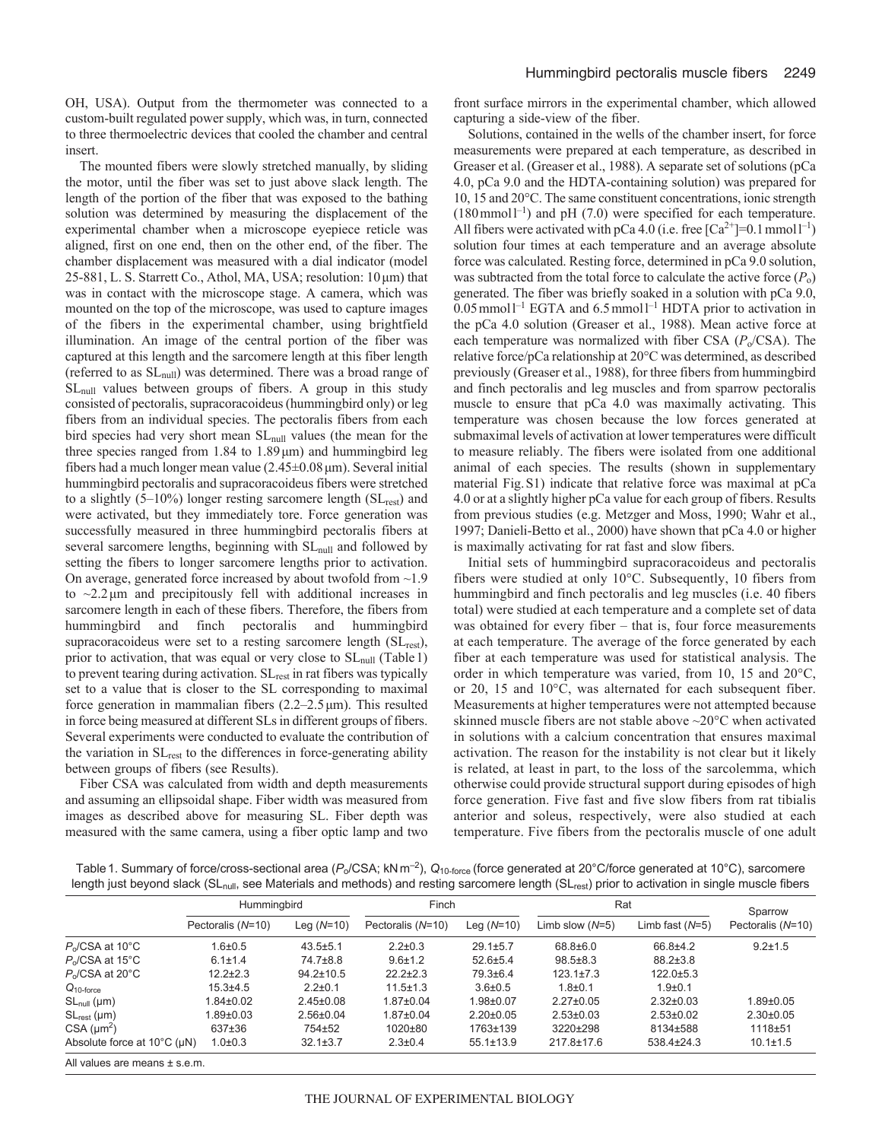OH, USA). Output from the thermometer was connected to a custom-built regulated power supply, which was, in turn, connected to three thermoelectric devices that cooled the chamber and central insert.

The mounted fibers were slowly stretched manually, by sliding the motor, until the fiber was set to just above slack length. The length of the portion of the fiber that was exposed to the bathing solution was determined by measuring the displacement of the experimental chamber when a microscope eyepiece reticle was aligned, first on one end, then on the other end, of the fiber. The chamber displacement was measured with a dial indicator (model 25-881, L. S. Starrett Co., Athol, MA, USA; resolution: 10μm) that was in contact with the microscope stage. A camera, which was mounted on the top of the microscope, was used to capture images of the fibers in the experimental chamber, using brightfield illumination. An image of the central portion of the fiber was captured at this length and the sarcomere length at this fiber length (referred to as SLnull) was determined. There was a broad range of SLnull values between groups of fibers. A group in this study consisted of pectoralis, supracoracoideus (hummingbird only) or leg fibers from an individual species. The pectoralis fibers from each bird species had very short mean SL<sub>null</sub> values (the mean for the three species ranged from  $1.84$  to  $1.89 \,\mu m$ ) and hummingbird leg fibers had a much longer mean value  $(2.45\pm0.08 \,\mu m)$ . Several initial hummingbird pectoralis and supracoracoideus fibers were stretched to a slightly  $(5-10\%)$  longer resting sarcomere length  $(SL_{rest})$  and were activated, but they immediately tore. Force generation was successfully measured in three hummingbird pectoralis fibers at several sarcomere lengths, beginning with  $SL<sub>null</sub>$  and followed by setting the fibers to longer sarcomere lengths prior to activation. On average, generated force increased by about twofold from ~1.9 to ~2.2μm and precipitously fell with additional increases in sarcomere length in each of these fibers. Therefore, the fibers from hummingbird and finch pectoralis and hummingbird supracoracoideus were set to a resting sarcomere length  $(SL_{rest})$ , prior to activation, that was equal or very close to  $SL<sub>null</sub>$  (Table 1) to prevent tearing during activation. SL<sub>rest</sub> in rat fibers was typically set to a value that is closer to the SL corresponding to maximal force generation in mammalian fibers (2.2–2.5μm). This resulted in force being measured at different SLs in different groups of fibers. Several experiments were conducted to evaluate the contribution of the variation in SL<sub>rest</sub> to the differences in force-generating ability between groups of fibers (see Results).

Fiber CSA was calculated from width and depth measurements and assuming an ellipsoidal shape. Fiber width was measured from images as described above for measuring SL. Fiber depth was measured with the same camera, using a fiber optic lamp and two front surface mirrors in the experimental chamber, which allowed capturing a side-view of the fiber.

Solutions, contained in the wells of the chamber insert, for force measurements were prepared at each temperature, as described in Greaser et al. (Greaser et al., 1988). A separate set of solutions (pCa 4.0, pCa 9.0 and the HDTA-containing solution) was prepared for 10, 15 and 20°C. The same constituent concentrations, ionic strength  $(180 \text{ mmol}^{-1})$  and pH  $(7.0)$  were specified for each temperature. All fibers were activated with pCa 4.0 (i.e. free  $\lbrack Ca^{2+} \rbrack = 0.1$  mmol  $l^{-1}$ ) solution four times at each temperature and an average absolute force was calculated. Resting force, determined in pCa 9.0 solution, was subtracted from the total force to calculate the active force  $(P_0)$ generated. The fiber was briefly soaked in a solution with pCa 9.0,  $0.05$  mmol<sup>1-1</sup> EGTA and 6.5 mmol<sup>1-1</sup> HDTA prior to activation in the pCa 4.0 solution (Greaser et al., 1988). Mean active force at each temperature was normalized with fiber CSA (*P*o/CSA). The relative force/pCa relationship at 20°C was determined, as described previously (Greaser et al., 1988), for three fibers from hummingbird and finch pectoralis and leg muscles and from sparrow pectoralis muscle to ensure that pCa 4.0 was maximally activating. This temperature was chosen because the low forces generated at submaximal levels of activation at lower temperatures were difficult to measure reliably. The fibers were isolated from one additional animal of each species. The results (shown in supplementary material Fig.S1) indicate that relative force was maximal at pCa 4.0 or at a slightly higher pCa value for each group of fibers. Results from previous studies (e.g. Metzger and Moss, 1990; Wahr et al., 1997; Danieli-Betto et al., 2000) have shown that pCa 4.0 or higher is maximally activating for rat fast and slow fibers.

Initial sets of hummingbird supracoracoideus and pectoralis fibers were studied at only 10°C. Subsequently, 10 fibers from hummingbird and finch pectoralis and leg muscles (i.e. 40 fibers total) were studied at each temperature and a complete set of data was obtained for every fiber – that is, four force measurements at each temperature. The average of the force generated by each fiber at each temperature was used for statistical analysis. The order in which temperature was varied, from 10, 15 and 20°C, or 20, 15 and 10°C, was alternated for each subsequent fiber. Measurements at higher temperatures were not attempted because skinned muscle fibers are not stable above ~20°C when activated in solutions with a calcium concentration that ensures maximal activation. The reason for the instability is not clear but it likely is related, at least in part, to the loss of the sarcolemma, which otherwise could provide structural support during episodes of high force generation. Five fast and five slow fibers from rat tibialis anterior and soleus, respectively, were also studied at each temperature. Five fibers from the pectoralis muscle of one adult

Table 1. Summary of force/cross-sectional area (P<sub>o</sub>/CSA; kNm<sup>-2</sup>), Q<sub>10-force</sub> (force generated at 20°C/force generated at 10°C), sarcomere length just beyond slack (SL<sub>null</sub>, see Materials and methods) and resting sarcomere length (SL<sub>rest</sub>) prior to activation in single muscle fibers

|                                             | Hummingbird       |                 | Finch             |                 | Rat               |                   | Sparrow           |
|---------------------------------------------|-------------------|-----------------|-------------------|-----------------|-------------------|-------------------|-------------------|
|                                             | Pectoralis (N=10) | Leg $(N=10)$    | Pectoralis (N=10) | Leg $(N=10)$    | Limb slow $(N=5)$ | Limb fast $(N=5)$ | Pectoralis (N=10) |
| $P_0$ /CSA at 10 $^{\circ}$ C               | $1.6 \pm 0.5$     | $43.5 \pm 5.1$  | $2.2 \pm 0.3$     | $29.1 \pm 5.7$  | $68.8 \pm 6.0$    | 66.8±4.2          | $9.2 \pm 1.5$     |
| $P_0$ /CSA at 15°C                          | $6.1 \pm 1.4$     | 74.7±8.8        | $9.6 \pm 1.2$     | $52.6 \pm 5.4$  | $98.5 \pm 8.3$    | $88.2 \pm 3.8$    |                   |
| $P_0$ /CSA at 20 $^{\circ}$ C               | $12.2 \pm 2.3$    | $94.2 \pm 10.5$ | $22.2 \pm 2.3$    | 79.3±6.4        | $123.1 \pm 7.3$   | $122.0 \pm 5.3$   |                   |
| $Q_{10\text{-force}}$                       | $15.3 + 4.5$      | $2.2 \pm 0.1$   | $11.5 \pm 1.3$    | $3.6 + 0.5$     | $1.8 + 0.1$       | $1.9 + 0.1$       |                   |
| $SL_{null}$ (µm)                            | $1.84 \pm 0.02$   | $2.45 \pm 0.08$ | $1.87 \pm 0.04$   | $1.98 + 0.07$   | $2.27 \pm 0.05$   | $2.32 \pm 0.03$   | $1.89 + 0.05$     |
| $SL_{rest}$ (µm)                            | $0.89 + 0.03$     | $2.56 \pm 0.04$ | $1.87 \pm 0.04$   | $2.20 \pm 0.05$ | $2.53 \pm 0.03$   | $2.53 \pm 0.02$   | $2.30 \pm 0.05$   |
| CSA (µm <sup>2</sup> )                      | 637±36            | 754±52          | 1020±80           | 1763±139        | 3220±298          | 8134±588          | 1118±51           |
| Absolute force at $10^{\circ}$ C ( $\mu$ N) | $1.0 + 0.3$       | $32.1 \pm 3.7$  | $2.3 \pm 0.4$     | $55.1 \pm 13.9$ | $217.8 \pm 17.6$  | $538.4 \pm 24.3$  | $10.1 \pm 1.5$    |

All values are means ± s.e.m.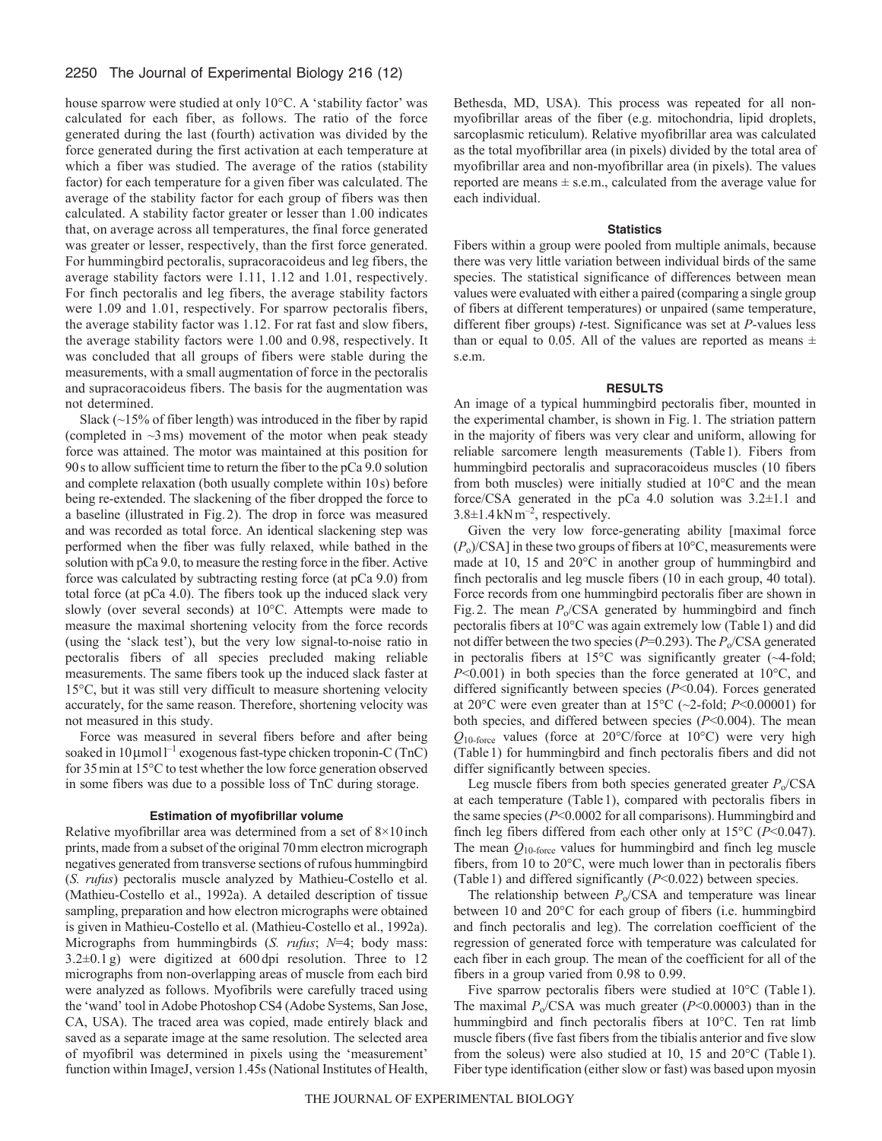house sparrow were studied at only 10°C. A 'stability factor' was calculated for each fiber, as follows. The ratio of the force generated during the last (fourth) activation was divided by the force generated during the first activation at each temperature at which a fiber was studied. The average of the ratios (stability factor) for each temperature for a given fiber was calculated. The average of the stability factor for each group of fibers was then calculated. A stability factor greater or lesser than 1.00 indicates that, on average across all temperatures, the final force generated was greater or lesser, respectively, than the first force generated. For hummingbird pectoralis, supracoracoideus and leg fibers, the average stability factors were 1.11, 1.12 and 1.01, respectively. For finch pectoralis and leg fibers, the average stability factors were 1.09 and 1.01, respectively. For sparrow pectoralis fibers, the average stability factor was 1.12. For rat fast and slow fibers, the average stability factors were 1.00 and 0.98, respectively. It was concluded that all groups of fibers were stable during the measurements, with a small augmentation of force in the pectoralis and supracoracoideus fibers. The basis for the augmentation was not determined.

Slack ( $\sim$ 15% of fiber length) was introduced in the fiber by rapid (completed in  $\sim$ 3 ms) movement of the motor when peak steady force was attained. The motor was maintained at this position for 90s to allow sufficient time to return the fiber to the pCa 9.0 solution and complete relaxation (both usually complete within 10s) before being re-extended. The slackening of the fiber dropped the force to a baseline (illustrated in Fig.2). The drop in force was measured and was recorded as total force. An identical slackening step was performed when the fiber was fully relaxed, while bathed in the solution with pCa 9.0, to measure the resting force in the fiber. Active force was calculated by subtracting resting force (at pCa 9.0) from total force (at pCa 4.0). The fibers took up the induced slack very slowly (over several seconds) at 10°C. Attempts were made to measure the maximal shortening velocity from the force records (using the 'slack test'), but the very low signal-to-noise ratio in pectoralis fibers of all species precluded making reliable measurements. The same fibers took up the induced slack faster at 15°C, but it was still very difficult to measure shortening velocity accurately, for the same reason. Therefore, shortening velocity was not measured in this study.

Force was measured in several fibers before and after being soaked in 10 µmoll<sup>-1</sup> exogenous fast-type chicken troponin-C (TnC) for 35min at 15°C to test whether the low force generation observed in some fibers was due to a possible loss of TnC during storage.

# **Estimation of myofibrillar volume**

Relative myofibrillar area was determined from a set of  $8\times10$  inch prints, made from a subset of the original 70mm electron micrograph negatives generated from transverse sections of rufous hummingbird (*S. rufus*) pectoralis muscle analyzed by Mathieu-Costello et al. (Mathieu-Costello et al., 1992a). A detailed description of tissue sampling, preparation and how electron micrographs were obtained is given in Mathieu-Costello et al. (Mathieu-Costello et al., 1992a). Micrographs from hummingbirds (*S. rufus*; *N*=4; body mass:  $3.2\pm0.1$  g) were digitized at  $600$  dpi resolution. Three to 12 micrographs from non-overlapping areas of muscle from each bird were analyzed as follows. Myofibrils were carefully traced using the 'wand' tool in Adobe Photoshop CS4 (Adobe Systems, San Jose, CA, USA). The traced area was copied, made entirely black and saved as a separate image at the same resolution. The selected area of myofibril was determined in pixels using the 'measurement' function within ImageJ, version 1.45s (National Institutes of Health, Bethesda, MD, USA). This process was repeated for all nonmyofibrillar areas of the fiber (e.g. mitochondria, lipid droplets, sarcoplasmic reticulum). Relative myofibrillar area was calculated as the total myofibrillar area (in pixels) divided by the total area of myofibrillar area and non-myofibrillar area (in pixels). The values reported are means  $\pm$  s.e.m., calculated from the average value for each individual.

### **Statistics**

Fibers within a group were pooled from multiple animals, because there was very little variation between individual birds of the same species. The statistical significance of differences between mean values were evaluated with either a paired (comparing a single group of fibers at different temperatures) or unpaired (same temperature, different fiber groups) *t*-test. Significance was set at *P*-values less than or equal to 0.05. All of the values are reported as means  $\pm$ s.e.m.

## **RESULTS**

An image of a typical hummingbird pectoralis fiber, mounted in the experimental chamber, is shown in Fig.1. The striation pattern in the majority of fibers was very clear and uniform, allowing for reliable sarcomere length measurements (Table1). Fibers from hummingbird pectoralis and supracoracoideus muscles (10 fibers from both muscles) were initially studied at 10°C and the mean force/CSA generated in the pCa 4.0 solution was 3.2±1.1 and  $3.8 \pm 1.4$  kN m<sup>-2</sup>, respectively.

Given the very low force-generating ability [maximal force  $(P_0)$ /CSA] in these two groups of fibers at 10 $\degree$ C, measurements were made at 10, 15 and 20°C in another group of hummingbird and finch pectoralis and leg muscle fibers (10 in each group, 40 total). Force records from one hummingbird pectoralis fiber are shown in Fig.2. The mean *P*<sub>o</sub>/CSA generated by hummingbird and finch pectoralis fibers at 10°C was again extremely low (Table1) and did not differ between the two species (*P*=0.293). The *P*<sub>o</sub>/CSA generated in pectoralis fibers at 15°C was significantly greater (~4-fold; *P*<0.001) in both species than the force generated at 10<sup>o</sup>C, and differed significantly between species (*P*<0.04). Forces generated at 20°C were even greater than at 15°C (~2-fold; *P*<0.00001) for both species, and differed between species (*P*<0.004). The mean  $Q_{10\text{-}force}$  values (force at 20°C/force at 10°C) were very high (Table1) for hummingbird and finch pectoralis fibers and did not differ significantly between species.

Leg muscle fibers from both species generated greater  $P_0 / \text{CSA}$ at each temperature (Table1), compared with pectoralis fibers in the same species (*P*<0.0002 for all comparisons). Hummingbird and finch leg fibers differed from each other only at 15°C (*P*<0.047). The mean *Q*10-force values for hummingbird and finch leg muscle fibers, from 10 to 20°C, were much lower than in pectoralis fibers (Table1) and differed significantly (*P*<0.022) between species.

The relationship between *P*o/CSA and temperature was linear between 10 and 20°C for each group of fibers (i.e. hummingbird and finch pectoralis and leg). The correlation coefficient of the regression of generated force with temperature was calculated for each fiber in each group. The mean of the coefficient for all of the fibers in a group varied from 0.98 to 0.99.

Five sparrow pectoralis fibers were studied at 10°C (Table1). The maximal  $P_0/CSA$  was much greater ( $P<0.00003$ ) than in the hummingbird and finch pectoralis fibers at 10°C. Ten rat limb muscle fibers (five fast fibers from the tibialis anterior and five slow from the soleus) were also studied at 10, 15 and 20°C (Table1). Fiber type identification (either slow or fast) was based upon myosin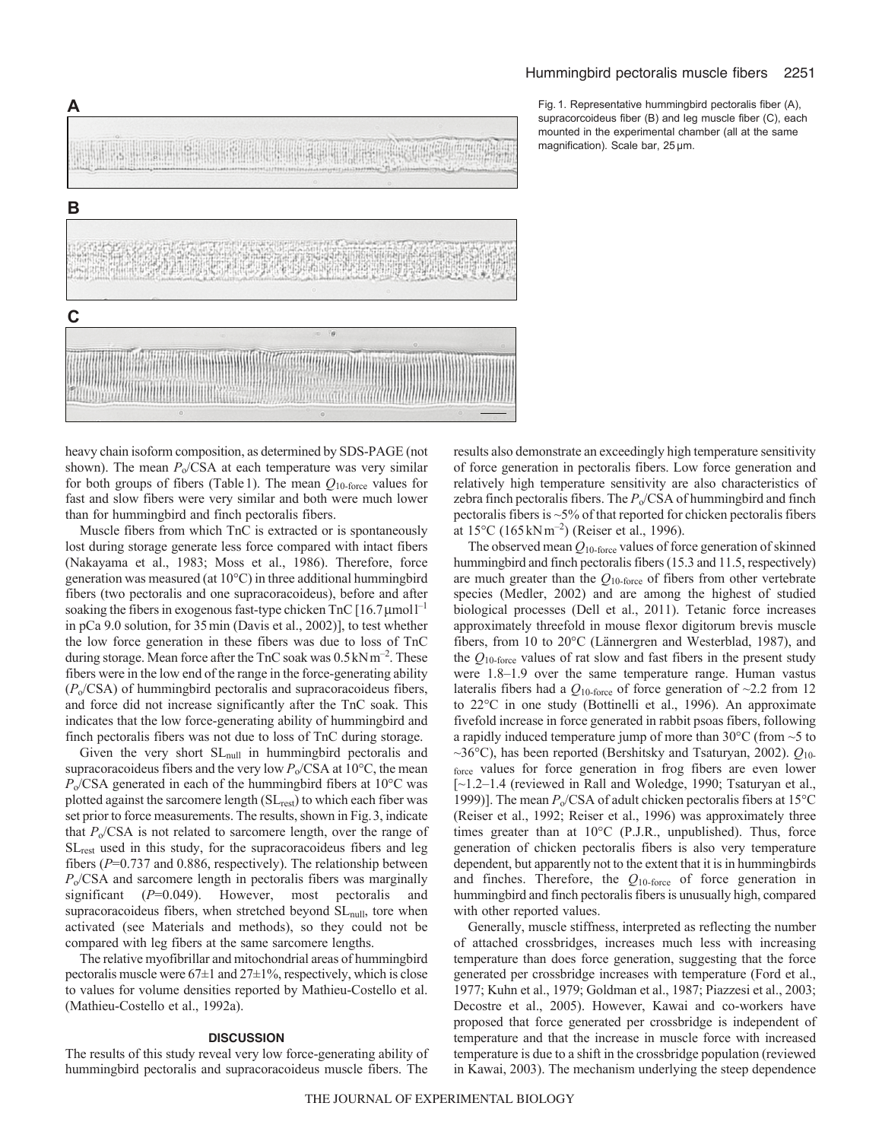

Fig. 1. Representative hummingbird pectoralis fiber (A), supracorcoideus fiber (B) and leg muscle fiber (C), each mounted in the experimental chamber (all at the same magnification). Scale bar, 25 μm.

heavy chain isoform composition, as determined by SDS-PAGE (not shown). The mean  $P_0/CSA$  at each temperature was very similar for both groups of fibers (Table1). The mean *Q*10-force values for fast and slow fibers were very similar and both were much lower than for hummingbird and finch pectoralis fibers.

Muscle fibers from which TnC is extracted or is spontaneously lost during storage generate less force compared with intact fibers (Nakayama et al., 1983; Moss et al., 1986). Therefore, force generation was measured (at 10°C) in three additional hummingbird fibers (two pectoralis and one supracoracoideus), before and after soaking the fibers in exogenous fast-type chicken  $\text{Tr} C [16.7 \mu \text{mol}]^{-1}$ in pCa 9.0 solution, for 35min (Davis et al., 2002)], to test whether the low force generation in these fibers was due to loss of TnC during storage. Mean force after the TnC soak was  $0.5 \text{ kN m}^{-2}$ . These fibers were in the low end of the range in the force-generating ability (*P*o/CSA) of hummingbird pectoralis and supracoracoideus fibers, and force did not increase significantly after the TnC soak. This indicates that the low force-generating ability of hummingbird and finch pectoralis fibers was not due to loss of TnC during storage.

Given the very short  $SL<sub>null</sub>$  in hummingbird pectoralis and supracoracoideus fibers and the very low *P*o/CSA at 10°C, the mean *P*o/CSA generated in each of the hummingbird fibers at 10°C was plotted against the sarcomere length (SL<sub>rest</sub>) to which each fiber was set prior to force measurements. The results, shown in Fig. 3, indicate that  $P_0/CSA$  is not related to sarcomere length, over the range of SLrest used in this study, for the supracoracoideus fibers and leg fibers ( $P=0.737$  and 0.886, respectively). The relationship between *P*o/CSA and sarcomere length in pectoralis fibers was marginally significant (*P*=0.049). However, most pectoralis and supracoracoideus fibers, when stretched beyond SL<sub>null</sub>, tore when activated (see Materials and methods), so they could not be compared with leg fibers at the same sarcomere lengths.

The relative myofibrillar and mitochondrial areas of hummingbird pectoralis muscle were  $67\pm1$  and  $27\pm1\%$ , respectively, which is close to values for volume densities reported by Mathieu-Costello et al. (Mathieu-Costello et al., 1992a).

# **DISCUSSION**

The results of this study reveal very low force-generating ability of hummingbird pectoralis and supracoracoideus muscle fibers. The results also demonstrate an exceedingly high temperature sensitivity of force generation in pectoralis fibers. Low force generation and relatively high temperature sensitivity are also characteristics of zebra finch pectoralis fibers. The *P*o/CSA of hummingbird and finch pectoralis fibers is ~5% of that reported for chicken pectoralis fibers at 15°C (165kNm–2) (Reiser et al., 1996).

The observed mean *Q*10-force values of force generation of skinned hummingbird and finch pectoralis fibers (15.3 and 11.5, respectively) are much greater than the *Q*10-force of fibers from other vertebrate species (Medler, 2002) and are among the highest of studied biological processes (Dell et al., 2011). Tetanic force increases approximately threefold in mouse flexor digitorum brevis muscle fibers, from 10 to 20°C (Lännergren and Westerblad, 1987), and the *Q*10-force values of rat slow and fast fibers in the present study were 1.8–1.9 over the same temperature range. Human vastus lateralis fibers had a  $Q_{10\text{-}force}$  of force generation of  $\sim$ 2.2 from 12 to 22°C in one study (Bottinelli et al., 1996). An approximate fivefold increase in force generated in rabbit psoas fibers, following a rapidly induced temperature jump of more than  $30^{\circ}$ C (from  $\sim$  5 to ~36°C), has been reported (Bershitsky and Tsaturyan, 2002). *Q*10 force values for force generation in frog fibers are even lower [~1.2–1.4 (reviewed in Rall and Woledge, 1990; Tsaturyan et al., 1999)]. The mean  $P_0$ /CSA of adult chicken pectoralis fibers at 15 $\textdegree$ C (Reiser et al., 1992; Reiser et al., 1996) was approximately three times greater than at 10°C (P.J.R., unpublished). Thus, force generation of chicken pectoralis fibers is also very temperature dependent, but apparently not to the extent that it is in hummingbirds and finches. Therefore, the *Q*10-force of force generation in hummingbird and finch pectoralis fibers is unusually high, compared with other reported values.

Generally, muscle stiffness, interpreted as reflecting the number of attached crossbridges, increases much less with increasing temperature than does force generation, suggesting that the force generated per crossbridge increases with temperature (Ford et al., 1977; Kuhn et al., 1979; Goldman et al., 1987; Piazzesi et al., 2003; Decostre et al., 2005). However, Kawai and co-workers have proposed that force generated per crossbridge is independent of temperature and that the increase in muscle force with increased temperature is due to a shift in the crossbridge population (reviewed in Kawai, 2003). The mechanism underlying the steep dependence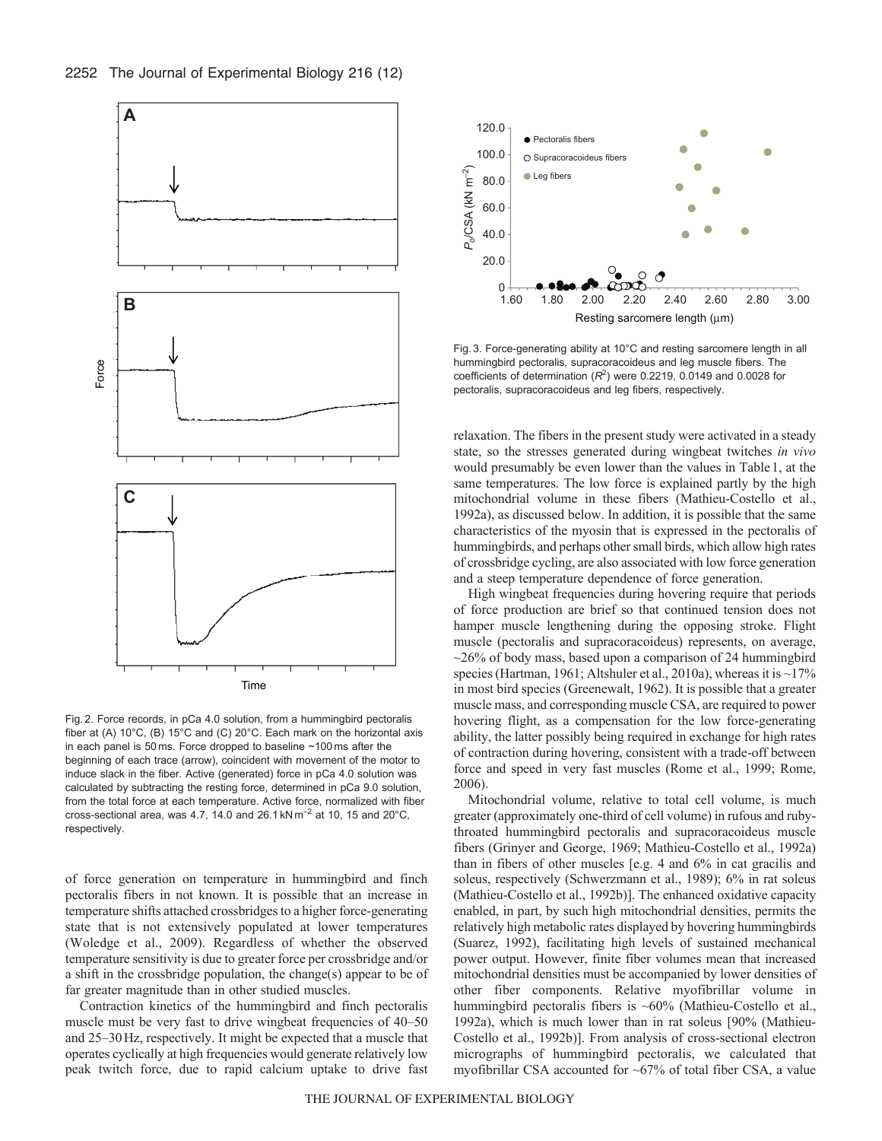

Fig. 2. Force records, in pCa 4.0 solution, from a hummingbird pectoralis fiber at (A) 10°C, (B) 15°C and (C) 20°C. Each mark on the horizontal axis in each panel is 50 ms. Force dropped to baseline ~100 ms after the beginning of each trace (arrow), coincident with movement of the motor to induce slack in the fiber. Active (generated) force in pCa 4.0 solution was calculated by subtracting the resting force, determined in pCa 9.0 solution, from the total force at each temperature. Active force, normalized with fiber cross-sectional area, was 4.7, 14.0 and 26.1 kN  $\text{m}^{-2}$  at 10, 15 and 20°C, respectively.

of force generation on temperature in hummingbird and finch pectoralis fibers in not known. It is possible that an increase in temperature shifts attached crossbridges to a higher force-generating state that is not extensively populated at lower temperatures (Woledge et al., 2009). Regardless of whether the observed temperature sensitivity is due to greater force per crossbridge and/or a shift in the crossbridge population, the change(s) appear to be of far greater magnitude than in other studied muscles.

Contraction kinetics of the hummingbird and finch pectoralis muscle must be very fast to drive wingbeat frequencies of 40–50 and 25–30Hz, respectively. It might be expected that a muscle that operates cyclically at high frequencies would generate relatively low peak twitch force, due to rapid calcium uptake to drive fast



Fig. 3. Force-generating ability at 10°C and resting sarcomere length in all hummingbird pectoralis, supracoracoideus and leg muscle fibers. The coefficients of determination  $(R^2)$  were 0.2219, 0.0149 and 0.0028 for pectoralis, supracoracoideus and leg fibers, respectively.

relaxation. The fibers in the present study were activated in a steady state, so the stresses generated during wingbeat twitches *in vivo* would presumably be even lower than the values in Table1, at the same temperatures. The low force is explained partly by the high mitochondrial volume in these fibers (Mathieu-Costello et al., 1992a), as discussed below. In addition, it is possible that the same characteristics of the myosin that is expressed in the pectoralis of hummingbirds, and perhaps other small birds, which allow high rates of crossbridge cycling, are also associated with low force generation and a steep temperature dependence of force generation.

High wingbeat frequencies during hovering require that periods of force production are brief so that continued tension does not hamper muscle lengthening during the opposing stroke. Flight muscle (pectoralis and supracoracoideus) represents, on average,  $\sim$ 26% of body mass, based upon a comparison of 24 hummingbird species (Hartman, 1961; Altshuler et al., 2010a), whereas it is  $\sim$ 17% in most bird species (Greenewalt, 1962). It is possible that a greater muscle mass, and corresponding muscle CSA, are required to power hovering flight, as a compensation for the low force-generating ability, the latter possibly being required in exchange for high rates of contraction during hovering, consistent with a trade-off between force and speed in very fast muscles (Rome et al., 1999; Rome, 2006).

Mitochondrial volume, relative to total cell volume, is much greater (approximately one-third of cell volume) in rufous and rubythroated hummingbird pectoralis and supracoracoideus muscle fibers (Grinyer and George, 1969; Mathieu-Costello et al., 1992a) than in fibers of other muscles [e.g. 4 and 6% in cat gracilis and soleus, respectively (Schwerzmann et al., 1989); 6% in rat soleus (Mathieu-Costello et al., 1992b)]. The enhanced oxidative capacity enabled, in part, by such high mitochondrial densities, permits the relatively high metabolic rates displayed by hovering hummingbirds (Suarez, 1992), facilitating high levels of sustained mechanical power output. However, finite fiber volumes mean that increased mitochondrial densities must be accompanied by lower densities of other fiber components. Relative myofibrillar volume in hummingbird pectoralis fibers is ~60% (Mathieu-Costello et al., 1992a), which is much lower than in rat soleus [90% (Mathieu-Costello et al., 1992b)]. From analysis of cross-sectional electron micrographs of hummingbird pectoralis, we calculated that myofibrillar CSA accounted for ~67% of total fiber CSA, a value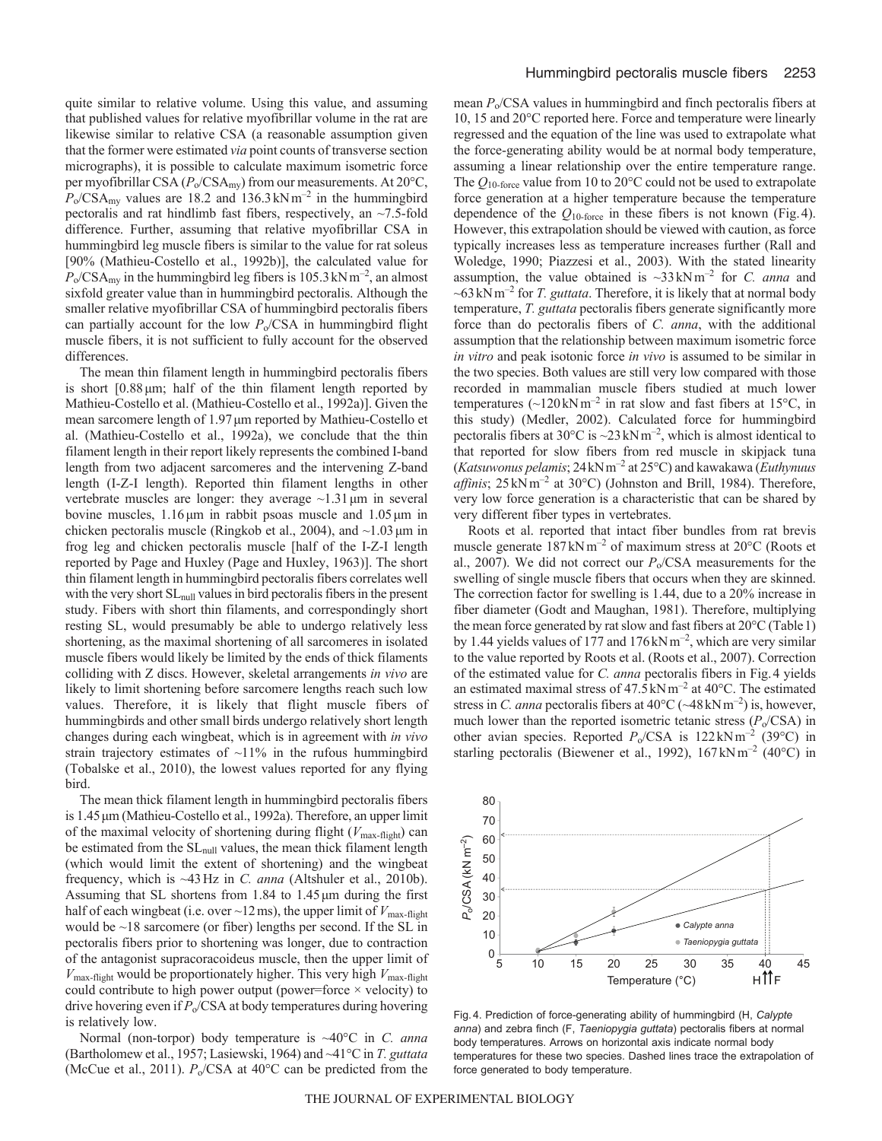quite similar to relative volume. Using this value, and assuming that published values for relative myofibrillar volume in the rat are likewise similar to relative CSA (a reasonable assumption given that the former were estimated *via* point counts of transverse section micrographs), it is possible to calculate maximum isometric force per myofibrillar CSA (*P*o/CSAmy) from our measurements. At 20°C,  $P_0/CSA_{\text{my}}$  values are 18.2 and 136.3 kNm<sup>-2</sup> in the hummingbird pectoralis and rat hindlimb fast fibers, respectively, an ~7.5-fold difference. Further, assuming that relative myofibrillar CSA in hummingbird leg muscle fibers is similar to the value for rat soleus [90% (Mathieu-Costello et al., 1992b)], the calculated value for  $P_0/\text{CSA}_{\text{my}}$  in the hummingbird leg fibers is 105.3 kNm<sup>-2</sup>, an almost sixfold greater value than in hummingbird pectoralis. Although the smaller relative myofibrillar CSA of hummingbird pectoralis fibers can partially account for the low *P*o/CSA in hummingbird flight muscle fibers, it is not sufficient to fully account for the observed differences.

The mean thin filament length in hummingbird pectoralis fibers is short [0.88μm; half of the thin filament length reported by Mathieu-Costello et al. (Mathieu-Costello et al., 1992a)]. Given the mean sarcomere length of 1.97 μm reported by Mathieu-Costello et al. (Mathieu-Costello et al., 1992a), we conclude that the thin filament length in their report likely represents the combined I-band length from two adjacent sarcomeres and the intervening Z-band length (I-Z-I length). Reported thin filament lengths in other vertebrate muscles are longer: they average ~1.31μm in several bovine muscles, 1.16μm in rabbit psoas muscle and 1.05μm in chicken pectoralis muscle (Ringkob et al., 2004), and  $\sim$ 1.03  $\mu$ m in frog leg and chicken pectoralis muscle [half of the I-Z-I length reported by Page and Huxley (Page and Huxley, 1963)]. The short thin filament length in hummingbird pectoralis fibers correlates well with the very short SL<sub>null</sub> values in bird pectoralis fibers in the present study. Fibers with short thin filaments, and correspondingly short resting SL, would presumably be able to undergo relatively less shortening, as the maximal shortening of all sarcomeres in isolated muscle fibers would likely be limited by the ends of thick filaments colliding with Z discs. However, skeletal arrangements *in vivo* are likely to limit shortening before sarcomere lengths reach such low values. Therefore, it is likely that flight muscle fibers of hummingbirds and other small birds undergo relatively short length changes during each wingbeat, which is in agreement with *in vivo* strain trajectory estimates of  $~11\%$  in the rufous hummingbird (Tobalske et al., 2010), the lowest values reported for any flying bird.

The mean thick filament length in hummingbird pectoralis fibers is 1.45μm (Mathieu-Costello et al., 1992a). Therefore, an upper limit of the maximal velocity of shortening during flight  $(V_{\text{max-flieht}})$  can be estimated from the SL<sub>null</sub> values, the mean thick filament length (which would limit the extent of shortening) and the wingbeat frequency, which is ~43Hz in *C. anna* (Altshuler et al., 2010b). Assuming that SL shortens from 1.84 to 1.45μm during the first half of each wingbeat (i.e. over  $\sim$ 12ms), the upper limit of  $V_{\text{max-flight}}$ would be ~18 sarcomere (or fiber) lengths per second. If the SL in pectoralis fibers prior to shortening was longer, due to contraction of the antagonist supracoracoideus muscle, then the upper limit of *V*<sub>max-flight</sub> would be proportionately higher. This very high *V*<sub>max-flight</sub> could contribute to high power output (power=force  $\times$  velocity) to drive hovering even if *P*o/CSA at body temperatures during hovering is relatively low.

Normal (non-torpor) body temperature is ~40°C in *C. anna* (Bartholomew et al., 1957; Lasiewski, 1964) and ~41°C in *T. guttata* (McCue et al., 2011). *P*o/CSA at 40°C can be predicted from the mean  $P_0$ /CSA values in hummingbird and finch pectoralis fibers at 10, 15 and 20°C reported here. Force and temperature were linearly regressed and the equation of the line was used to extrapolate what the force-generating ability would be at normal body temperature, assuming a linear relationship over the entire temperature range. The *Q*10-force value from 10 to 20°C could not be used to extrapolate force generation at a higher temperature because the temperature dependence of the *Q*10-force in these fibers is not known (Fig.4). However, this extrapolation should be viewed with caution, as force typically increases less as temperature increases further (Rall and Woledge, 1990; Piazzesi et al., 2003). With the stated linearity assumption, the value obtained is  $\sim 33 \text{ kNm}^{-2}$  for *C. anna* and  $\sim$  63 kN m<sup>-2</sup> for *T. guttata*. Therefore, it is likely that at normal body temperature, *T. guttata* pectoralis fibers generate significantly more force than do pectoralis fibers of *C. anna*, with the additional assumption that the relationship between maximum isometric force *in vitro* and peak isotonic force *in vivo* is assumed to be similar in the two species. Both values are still very low compared with those recorded in mammalian muscle fibers studied at much lower temperatures  $({\sim}120\,\mathrm{kNm^{-2}}$  in rat slow and fast fibers at 15°C, in this study) (Medler, 2002). Calculated force for hummingbird pectoralis fibers at 30°C is  $\sim$ 23 kNm<sup>-2</sup>, which is almost identical to that reported for slow fibers from red muscle in skipjack tuna (*Katsuwonus pelamis*; 24kNm–2 at 25°C) and kawakawa (*Euthynuus affinis*; 25kNm–2 at 30°C) (Johnston and Brill, 1984). Therefore, very low force generation is a characteristic that can be shared by very different fiber types in vertebrates.

Roots et al. reported that intact fiber bundles from rat brevis muscle generate 187kNm–2 of maximum stress at 20°C (Roots et al., 2007). We did not correct our *P*o/CSA measurements for the swelling of single muscle fibers that occurs when they are skinned. The correction factor for swelling is 1.44, due to a 20% increase in fiber diameter (Godt and Maughan, 1981). Therefore, multiplying the mean force generated by rat slow and fast fibers at 20°C (Table1) by 1.44 yields values of 177 and  $176 \text{ kN m}^{-2}$ , which are very similar to the value reported by Roots et al. (Roots et al., 2007). Correction of the estimated value for *C. anna* pectoralis fibers in Fig.4 yields an estimated maximal stress of  $47.5 \text{ kN m}^{-2}$  at  $40^{\circ}$ C. The estimated stress in *C. anna* pectoralis fibers at 40°C (~48kNm–2) is, however, much lower than the reported isometric tetanic stress (*P*o/CSA) in other avian species. Reported  $P_0/CSA$  is  $122 \text{ kNm}^{-2}$  (39°C) in starling pectoralis (Biewener et al., 1992),  $167 \text{kNm}^{-2}$  (40°C) in



Fig. 4. Prediction of force-generating ability of hummingbird (H, *Calypte anna*) and zebra finch (F, *Taeniopygia guttata*) pectoralis fibers at normal body temperatures. Arrows on horizontal axis indicate normal body temperatures for these two species. Dashed lines trace the extrapolation of force generated to body temperature.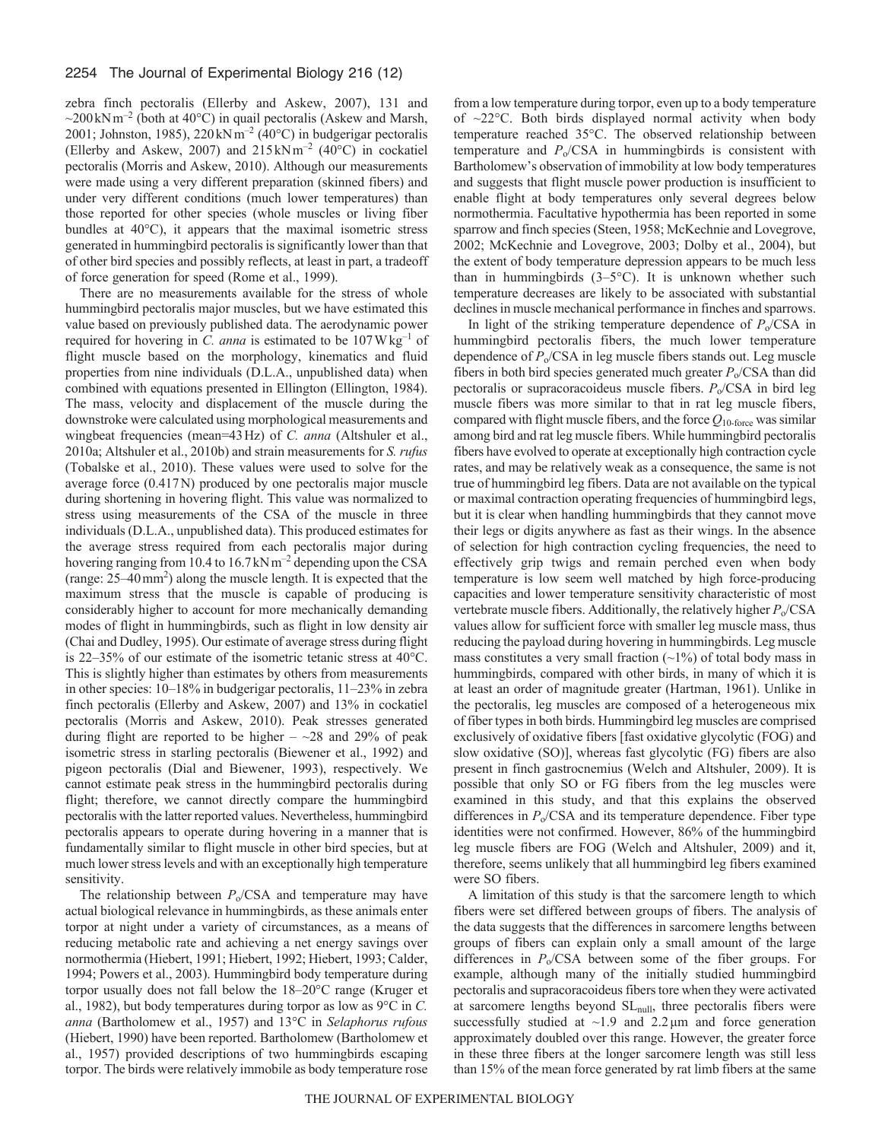zebra finch pectoralis (Ellerby and Askew, 2007), 131 and  $\sim$ 200 kN m<sup>-2</sup> (both at 40°C) in quail pectoralis (Askew and Marsh, 2001; Johnston, 1985), 220kNm–2 (40°C) in budgerigar pectoralis (Ellerby and Askew, 2007) and  $215 \text{ kNm}^{-2}$  (40°C) in cockatiel pectoralis (Morris and Askew, 2010). Although our measurements were made using a very different preparation (skinned fibers) and under very different conditions (much lower temperatures) than those reported for other species (whole muscles or living fiber bundles at 40°C), it appears that the maximal isometric stress generated in hummingbird pectoralis is significantly lower than that of other bird species and possibly reflects, at least in part, a tradeoff of force generation for speed (Rome et al., 1999).

There are no measurements available for the stress of whole hummingbird pectoralis major muscles, but we have estimated this value based on previously published data. The aerodynamic power required for hovering in *C. anna* is estimated to be  $107 \text{W kg}^{-1}$  of flight muscle based on the morphology, kinematics and fluid properties from nine individuals (D.L.A., unpublished data) when combined with equations presented in Ellington (Ellington, 1984). The mass, velocity and displacement of the muscle during the downstroke were calculated using morphological measurements and wingbeat frequencies (mean=43Hz) of *C. anna* (Altshuler et al., 2010a; Altshuler et al., 2010b) and strain measurements for *S. rufus* (Tobalske et al., 2010). These values were used to solve for the average force (0.417N) produced by one pectoralis major muscle during shortening in hovering flight. This value was normalized to stress using measurements of the CSA of the muscle in three individuals (D.L.A., unpublished data). This produced estimates for the average stress required from each pectoralis major during hovering ranging from 10.4 to 16.7 kN m<sup>-2</sup> depending upon the CSA (range: 25–40mm2 ) along the muscle length. It is expected that the maximum stress that the muscle is capable of producing is considerably higher to account for more mechanically demanding modes of flight in hummingbirds, such as flight in low density air (Chai and Dudley, 1995). Our estimate of average stress during flight is 22–35% of our estimate of the isometric tetanic stress at 40°C. This is slightly higher than estimates by others from measurements in other species: 10–18% in budgerigar pectoralis, 11–23% in zebra finch pectoralis (Ellerby and Askew, 2007) and 13% in cockatiel pectoralis (Morris and Askew, 2010). Peak stresses generated during flight are reported to be higher  $-28$  and 29% of peak isometric stress in starling pectoralis (Biewener et al., 1992) and pigeon pectoralis (Dial and Biewener, 1993), respectively. We cannot estimate peak stress in the hummingbird pectoralis during flight; therefore, we cannot directly compare the hummingbird pectoralis with the latter reported values. Nevertheless, hummingbird pectoralis appears to operate during hovering in a manner that is fundamentally similar to flight muscle in other bird species, but at much lower stress levels and with an exceptionally high temperature sensitivity.

The relationship between *P*o/CSA and temperature may have actual biological relevance in hummingbirds, as these animals enter torpor at night under a variety of circumstances, as a means of reducing metabolic rate and achieving a net energy savings over normothermia (Hiebert, 1991; Hiebert, 1992; Hiebert, 1993; Calder, 1994; Powers et al., 2003). Hummingbird body temperature during torpor usually does not fall below the 18–20°C range (Kruger et al., 1982), but body temperatures during torpor as low as 9°C in *C. anna* (Bartholomew et al., 1957) and 13°C in *Selaphorus rufous* (Hiebert, 1990) have been reported. Bartholomew (Bartholomew et al., 1957) provided descriptions of two hummingbirds escaping torpor. The birds were relatively immobile as body temperature rose

from a low temperature during torpor, even up to a body temperature of  $\sim$ 22°C. Both birds displayed normal activity when body temperature reached 35°C. The observed relationship between temperature and *P*o/CSA in hummingbirds is consistent with Bartholomew's observation of immobility at low body temperatures and suggests that flight muscle power production is insufficient to enable flight at body temperatures only several degrees below normothermia. Facultative hypothermia has been reported in some sparrow and finch species (Steen, 1958; McKechnie and Lovegrove, 2002; McKechnie and Lovegrove, 2003; Dolby et al., 2004), but the extent of body temperature depression appears to be much less than in hummingbirds  $(3-5^{\circ}C)$ . It is unknown whether such temperature decreases are likely to be associated with substantial declines in muscle mechanical performance in finches and sparrows.

In light of the striking temperature dependence of  $P_0/CSA$  in hummingbird pectoralis fibers, the much lower temperature dependence of  $P_{\rm o}/\text{CSA}$  in leg muscle fibers stands out. Leg muscle fibers in both bird species generated much greater  $P_0/CSA$  than did pectoralis or supracoracoideus muscle fibers. *P*o/CSA in bird leg muscle fibers was more similar to that in rat leg muscle fibers, compared with flight muscle fibers, and the force *Q*10-force was similar among bird and rat leg muscle fibers. While hummingbird pectoralis fibers have evolved to operate at exceptionally high contraction cycle rates, and may be relatively weak as a consequence, the same is not true of hummingbird leg fibers. Data are not available on the typical or maximal contraction operating frequencies of hummingbird legs, but it is clear when handling hummingbirds that they cannot move their legs or digits anywhere as fast as their wings. In the absence of selection for high contraction cycling frequencies, the need to effectively grip twigs and remain perched even when body temperature is low seem well matched by high force-producing capacities and lower temperature sensitivity characteristic of most vertebrate muscle fibers. Additionally, the relatively higher *P*o/CSA values allow for sufficient force with smaller leg muscle mass, thus reducing the payload during hovering in hummingbirds. Leg muscle mass constitutes a very small fraction  $(\sim 1\%)$  of total body mass in hummingbirds, compared with other birds, in many of which it is at least an order of magnitude greater (Hartman, 1961). Unlike in the pectoralis, leg muscles are composed of a heterogeneous mix of fiber types in both birds. Hummingbird leg muscles are comprised exclusively of oxidative fibers [fast oxidative glycolytic (FOG) and slow oxidative (SO)], whereas fast glycolytic (FG) fibers are also present in finch gastrocnemius (Welch and Altshuler, 2009). It is possible that only SO or FG fibers from the leg muscles were examined in this study, and that this explains the observed differences in  $P_0$ /CSA and its temperature dependence. Fiber type identities were not confirmed. However, 86% of the hummingbird leg muscle fibers are FOG (Welch and Altshuler, 2009) and it, therefore, seems unlikely that all hummingbird leg fibers examined were SO fibers.

A limitation of this study is that the sarcomere length to which fibers were set differed between groups of fibers. The analysis of the data suggests that the differences in sarcomere lengths between groups of fibers can explain only a small amount of the large differences in *P*o/CSA between some of the fiber groups. For example, although many of the initially studied hummingbird pectoralis and supracoracoideus fibers tore when they were activated at sarcomere lengths beyond SLnull, three pectoralis fibers were successfully studied at  $\sim$ 1.9 and 2.2 µm and force generation approximately doubled over this range. However, the greater force in these three fibers at the longer sarcomere length was still less than 15% of the mean force generated by rat limb fibers at the same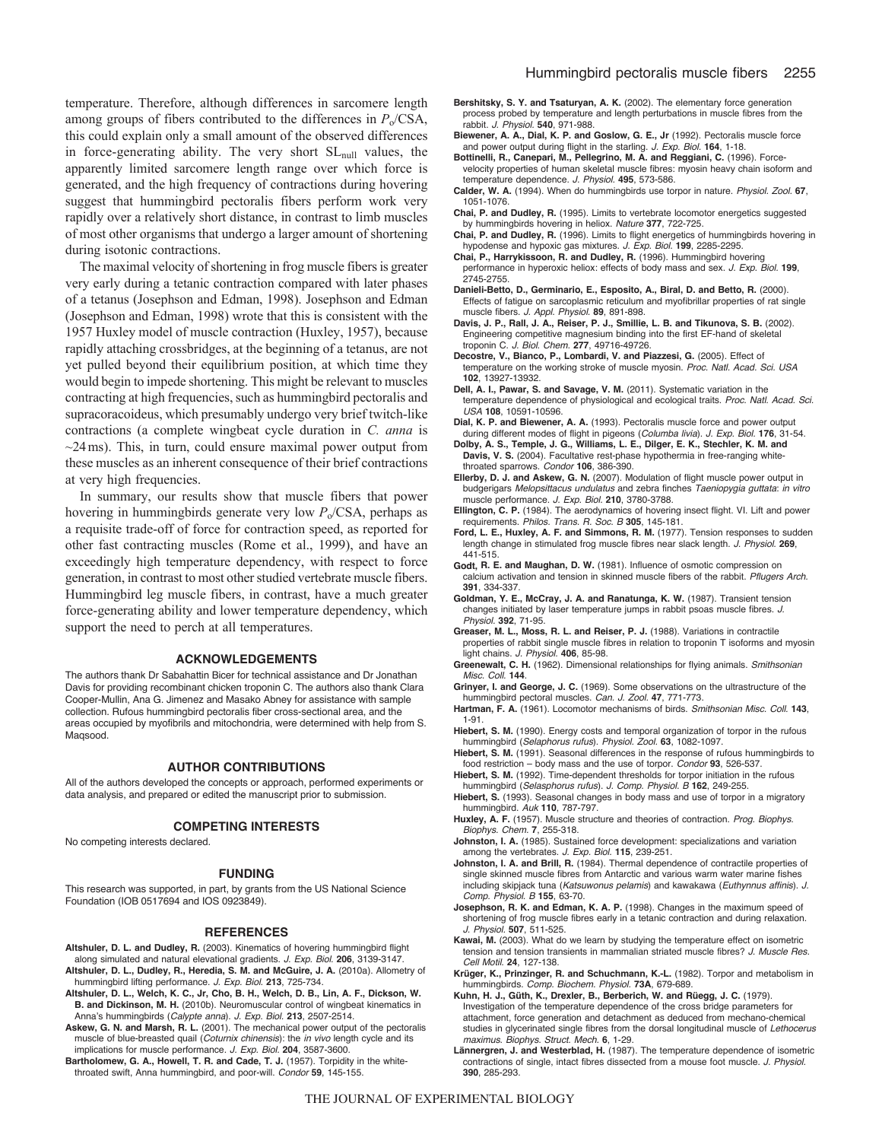temperature. Therefore, although differences in sarcomere length among groups of fibers contributed to the differences in  $P_0/CSA$ , this could explain only a small amount of the observed differences in force-generating ability. The very short  $SL<sub>null</sub>$  values, the apparently limited sarcomere length range over which force is generated, and the high frequency of contractions during hovering suggest that hummingbird pectoralis fibers perform work very rapidly over a relatively short distance, in contrast to limb muscles of most other organisms that undergo a larger amount of shortening during isotonic contractions.

The maximal velocity of shortening in frog muscle fibers is greater very early during a tetanic contraction compared with later phases of a tetanus (Josephson and Edman, 1998). Josephson and Edman (Josephson and Edman, 1998) wrote that this is consistent with the 1957 Huxley model of muscle contraction (Huxley, 1957), because rapidly attaching crossbridges, at the beginning of a tetanus, are not yet pulled beyond their equilibrium position, at which time they would begin to impede shortening. This might be relevant to muscles contracting at high frequencies, such as hummingbird pectoralis and supracoracoideus, which presumably undergo very brief twitch-like contractions (a complete wingbeat cycle duration in *C. anna* is  $\sim$ 24 ms). This, in turn, could ensure maximal power output from these muscles as an inherent consequence of their brief contractions at very high frequencies.

In summary, our results show that muscle fibers that power hovering in hummingbirds generate very low *P*o/CSA, perhaps as a requisite trade-off of force for contraction speed, as reported for other fast contracting muscles (Rome et al., 1999), and have an exceedingly high temperature dependency, with respect to force generation, in contrast to most other studied vertebrate muscle fibers. Hummingbird leg muscle fibers, in contrast, have a much greater force-generating ability and lower temperature dependency, which support the need to perch at all temperatures.

### **ACKNOWLEDGEMENTS**

The authors thank Dr Sabahattin Bicer for technical assistance and Dr Jonathan Davis for providing recombinant chicken troponin C. The authors also thank Clara Cooper-Mullin, Ana G. Jimenez and Masako Abney for assistance with sample collection. Rufous hummingbird pectoralis fiber cross-sectional area, and the areas occupied by myofibrils and mitochondria, were determined with help from S. Maqsood.

### **AUTHOR CONTRIBUTIONS**

All of the authors developed the concepts or approach, performed experiments or data analysis, and prepared or edited the manuscript prior to submission.

#### **COMPETING INTERESTS**

No competing interests declared.

#### **FUNDING**

This research was supported, in part, by grants from the US National Science Foundation (IOB 0517694 and IOS 0923849).

#### **REFERENCES**

- **Altshuler, D. L. and Dudley, R.** (2003). Kinematics of hovering hummingbird flight along simulated and natural elevational gradients. *J. Exp. Biol.* **206**, 3139-3147. **Altshuler, D. L., Dudley, R., Heredia, S. M. and McGuire, J. A.** (2010a). Allometry of
- hummingbird lifting performance. *J. Exp. Biol.* **213**, 725-734. **Altshuler, D. L., Welch, K. C., Jr, Cho, B. H., Welch, D. B., Lin, A. F., Dickson, W.**
- **B. and Dickinson, M. H.** (2010b). Neuromuscular control of wingbeat kinematics in Anna's hummingbirds (*Calypte anna*). *J. Exp. Biol.* **213**, 2507-2514.
- **Askew, G. N. and Marsh, R. L.** (2001). The mechanical power output of the pectoralis muscle of blue-breasted quail (*Coturnix chinensis*): the *in vivo* length cycle and its implications for muscle performance. *J. Exp. Biol.* **204**, 3587-3600.

**Bartholomew, G. A., Howell, T. R. and Cade, T. J.** (1957). Torpidity in the whitethroated swift, Anna hummingbird, and poor-will. *Condor* **59**, 145-155.

- **Bershitsky, S. Y. and Tsaturyan, A. K.** (2002). The elementary force generation process probed by temperature and length perturbations in muscle fibres from the rabbit. *J. Physiol.* **540**, 971-988.
- **Biewener, A. A., Dial, K. P. and Goslow, G. E., Jr** (1992). Pectoralis muscle force and power output during flight in the starling. *J. Exp. Biol.* **164**, 1-18.
- **Bottinelli, R., Canepari, M., Pellegrino, M. A. and Reggiani, C.** (1996). Forcevelocity properties of human skeletal muscle fibres: myosin heavy chain isoform and temperature dependence. *J. Physiol.* **495**, 573-586.
- **Calder, W. A.** (1994). When do hummingbirds use torpor in nature. *Physiol. Zool.* **67**, 1051-1076.
- **Chai, P. and Dudley, R.** (1995). Limits to vertebrate locomotor energetics suggested by hummingbirds hovering in heliox. *Nature* **377**, 722-725.
- **Chai, P. and Dudley, R.** (1996). Limits to flight energetics of hummingbirds hovering in hypodense and hypoxic gas mixtures. *J. Exp. Biol.* **199**, 2285-2295.
- **Chai, P., Harrykissoon, R. and Dudley, R.** (1996). Hummingbird hovering performance in hyperoxic heliox: effects of body mass and sex. *J. Exp. Biol.* **199**, 2745-2755.
- **Danieli-Betto, D., Germinario, E., Esposito, A., Biral, D. and Betto, R.** (2000). Effects of fatigue on sarcoplasmic reticulum and myofibrillar properties of rat single muscle fibers. *J. Appl. Physiol.* **89**, 891-898.
- **Davis, J. P., Rall, J. A., Reiser, P. J., Smillie, L. B. and Tikunova, S. B.** (2002). Engineering competitive magnesium binding into the first EF-hand of skeletal troponin C. *J. Biol. Chem.* **277**, 49716-49726.
- **Decostre, V., Bianco, P., Lombardi, V. and Piazzesi, G.** (2005). Effect of temperature on the working stroke of muscle myosin. *Proc. Natl. Acad. Sci. USA* **102**, 13927-13932.
- **Dell, A. I., Pawar, S. and Savage, V. M.** (2011). Systematic variation in the temperature dependence of physiological and ecological traits. *Proc. Natl. Acad. Sci. USA* **108**, 10591-10596.
- **Dial, K. P. and Biewener, A. A.** (1993). Pectoralis muscle force and power output during different modes of flight in pigeons (*Columba livia*). *J. Exp. Biol.* **176**, 31-54.
- **Dolby, A. S., Temple, J. G., Williams, L. E., Dilger, E. K., Stechler, K. M. and** Davis, V. S. (2004). Facultative rest-phase hypothermia in free-ranging white throated sparrows. *Condor* **106**, 386-390.
- **Ellerby, D. J. and Askew, G. N.** (2007). Modulation of flight muscle power output in budgerigars *Melopsittacus undulatus* and zebra finches *Taeniopygia guttata*: *in vitro* muscle performance. *J. Exp. Biol.* **210**, 3780-3788.
- **Ellington, C. P.** (1984). The aerodynamics of hovering insect flight. VI. Lift and power requirements. *Philos. Trans. R. Soc. B* **305**, 145-181.
- **Ford, L. E., Huxley, A. F. and Simmons, R. M.** (1977). Tension responses to sudden length change in stimulated frog muscle fibres near slack length. *J. Physiol.* **269**, 441-515.
- **Godt, R. E. and Maughan, D. W.** (1981). Influence of osmotic compression on calcium activation and tension in skinned muscle fibers of the rabbit. *Pflugers Arch.* **391**, 334-337.
- **Goldman, Y. E., McCray, J. A. and Ranatunga, K. W.** (1987). Transient tension changes initiated by laser temperature jumps in rabbit psoas muscle fibres. *J. Physiol.* **392**, 71-95.
- **Greaser, M. L., Moss, R. L. and Reiser, P. J.** (1988). Variations in contractile properties of rabbit single muscle fibres in relation to troponin T isoforms and myosin light chains. *J. Physiol.* **406**, 85-98.
- **Greenewalt, C. H.** (1962). Dimensional relationships for flying animals. *Smithsonian Misc. Coll.* **144**.
- **Grinyer, I. and George, J. C.** (1969). Some observations on the ultrastructure of the hummingbird pectoral muscles. *Can. J. Zool.* **47**, 771-773.
- **Hartman, F. A.** (1961). Locomotor mechanisms of birds. *Smithsonian Misc. Coll.* **143**, 1-91.
- Hiebert, S. M. (1990). Energy costs and temporal organization of torpor in the rufous hummingbird (*Selaphorus rufus*). *Physiol. Zool.* **63**, 1082-1097.
- Hiebert, S. M. (1991). Seasonal differences in the response of rufous hummingbirds to food restriction – body mass and the use of torpor. *Condor* **93**, 526-537.
- Hiebert, S. M. (1992). Time-dependent thresholds for torpor initiation in the rufous hummingbird (*Selasphorus rufus*). *J. Comp. Physiol. B* **162**, 249-255.
- **Hiebert, S.** (1993). Seasonal changes in body mass and use of torpor in a migratory hummingbird. *Auk* **110**, 787-797.
- **Huxley, A. F.** (1957). Muscle structure and theories of contraction. *Prog. Biophys. Biophys. Chem.* **7**, 255-318.
- **Johnston, I. A.** (1985). Sustained force development: specializations and variation among the vertebrates. *J. Exp. Biol.* **115**, 239-251.
- **Johnston, I. A. and Brill, R.** (1984). Thermal dependence of contractile properties of single skinned muscle fibres from Antarctic and various warm water marine fishes including skipjack tuna (*Katsuwonus pelamis*) and kawakawa (*Euthynnus affinis*). *J. Comp. Physiol. B* **155**, 63-70.
- **Josephson, R. K. and Edman, K. A. P.** (1998). Changes in the maximum speed of shortening of frog muscle fibres early in a tetanic contraction and during relaxation. *J. Physiol.* **507**, 511-525.
- **Kawai, M.** (2003). What do we learn by studying the temperature effect on isometric tension and tension transients in mammalian striated muscle fibres? *J. Muscle Res. Cell Motil.* **24**, 127-138.
- **Krüger, K., Prinzinger, R. and Schuchmann, K.-L.** (1982). Torpor and metabolism in hummingbirds. *Comp. Biochem. Physiol.* **73A**, 679-689.
- **Kuhn, H. J., Güth, K., Drexler, B., Berberich, W. and Rüegg, J. C.** (1979). Investigation of the temperature dependence of the cross bridge parameters for attachment, force generation and detachment as deduced from mechano-chemical studies in glycerinated single fibres from the dorsal longitudinal muscle of *Lethocerus maximus*. *Biophys. Struct. Mech.* **6**, 1-29.
- **Lännergren, J. and Westerblad, H.** (1987). The temperature dependence of isometric contractions of single, intact fibres dissected from a mouse foot muscle. *J. Physiol.* **390**, 285-293.